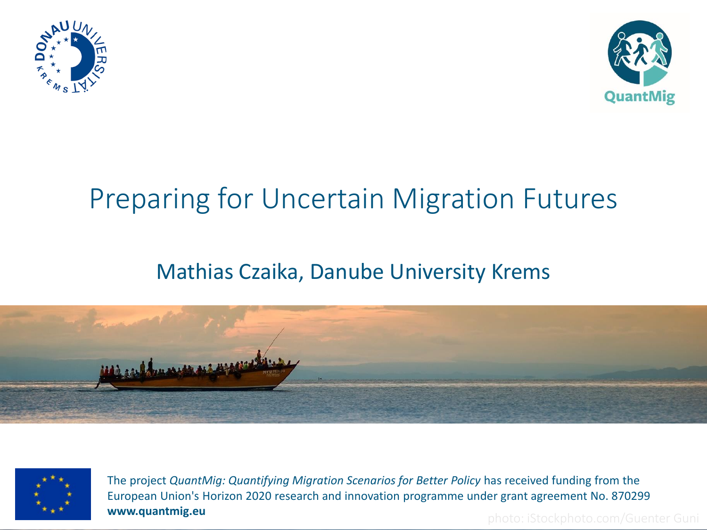



# Preparing for Uncertain Migration Futures

# Mathias Czaika, Danube University Krems





The project *QuantMig: Quantifying Migration Scenarios for Better Policy* has received funding from the European Union's Horizon 2020 research and innovation programme under grant agreement No. 870299 **www.quantmig.eu** photo: iStockphoto.com/Guenter Guni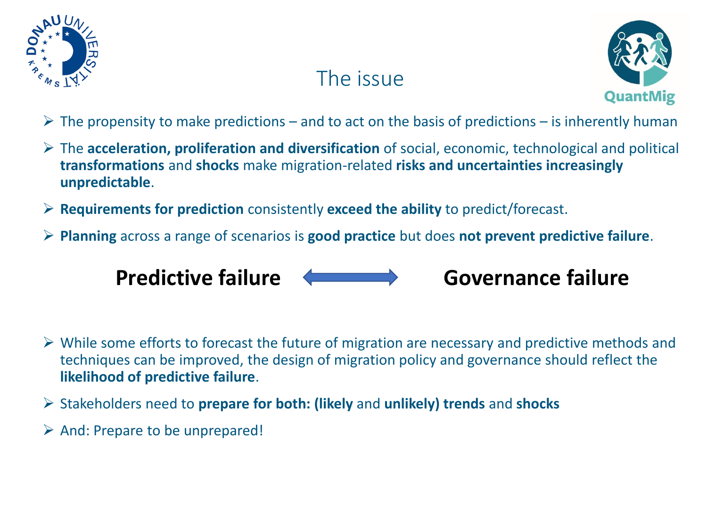

# The issue



- $\triangleright$  The propensity to make predictions and to act on the basis of predictions is inherently human
- ➢ The **acceleration, proliferation and diversification** of social, economic, technological and political **transformations** and **shocks** make migration-related **risks and uncertainties increasingly unpredictable**.
- ➢ **Requirements for prediction** consistently **exceed the ability** to predict/forecast.
- ➢ **Planning** across a range of scenarios is **good practice** but does **not prevent predictive failure**.



- $\triangleright$  While some efforts to forecast the future of migration are necessary and predictive methods and techniques can be improved, the design of migration policy and governance should reflect the **likelihood of predictive failure**.
- ➢ Stakeholders need to **prepare for both: (likely** and **unlikely) trends** and **shocks**
- ➢ And: Prepare to be unprepared!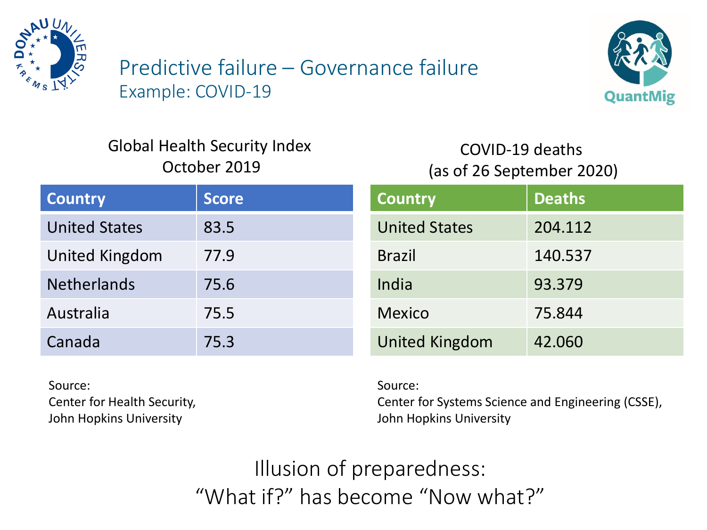

Predictive failure – Governance failure Example: COVID-19



#### Global Health Security Index October 2019

#### COVID-19 deaths (as of 26 September 2020)

| <b>Country</b>       | <b>Score</b> | <b>Country</b>        | <b>Deaths</b> |
|----------------------|--------------|-----------------------|---------------|
| <b>United States</b> | 83.5         | <b>United States</b>  | 204.112       |
| United Kingdom       | 77.9         | <b>Brazil</b>         | 140.537       |
| <b>Netherlands</b>   | 75.6         | India                 | 93.379        |
| Australia            | 75.5         | <b>Mexico</b>         | 75.844        |
| Canada               | 75.3         | <b>United Kingdom</b> | 42.060        |

Source: Center for Health Security, John Hopkins University

Source:

Center for Systems Science and Engineering (CSSE), John Hopkins University

Illusion of preparedness: "What if?" has become "Now what?"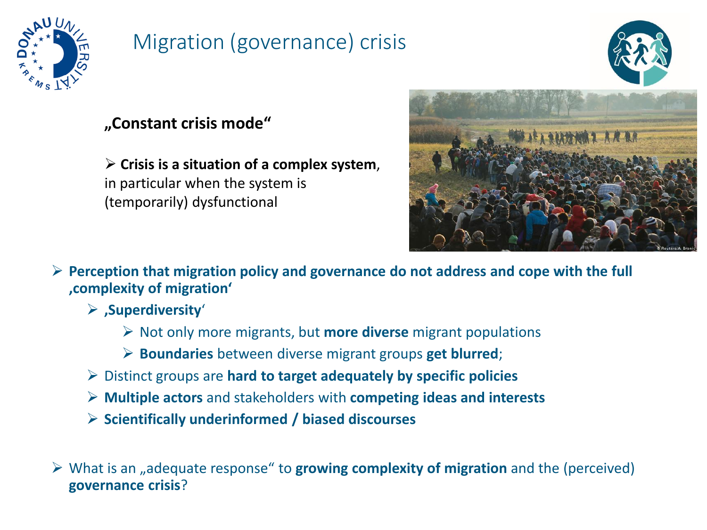

# Migration (governance) crisis

#### **"Constant crisis mode"**

➢ **Crisis is a situation of a complex system**, in particular when the system is (temporarily) dysfunctional



➢ **Perception that migration policy and governance do not address and cope with the full 'complexity of migration'**

- ➢ **'Superdiversity**'
	- ➢ Not only more migrants, but **more diverse** migrant populations
	- ➢ **Boundaries** between diverse migrant groups **get blurred**;
- ➢ Distinct groups are **hard to target adequately by specific policies**
- ➢ **Multiple actors** and stakeholders with **competing ideas and interests**
- ➢ **Scientifically underinformed / biased discourses**

➢ What is an "adequate response" to **growing complexity of migration** and the (perceived) **governance crisis**?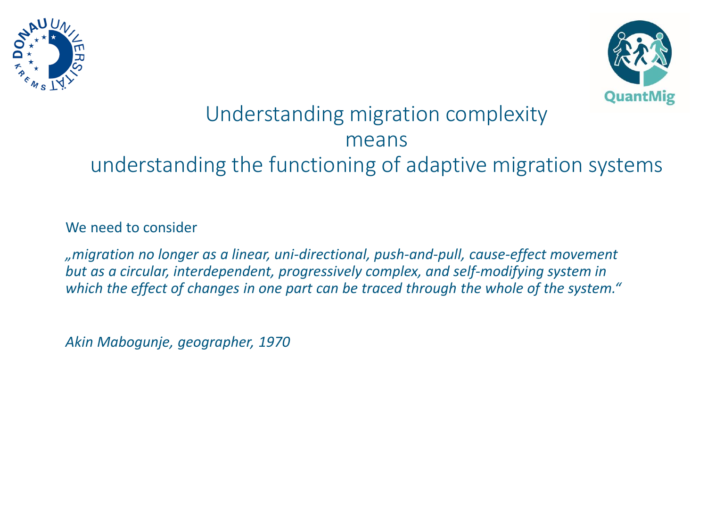



# Understanding migration complexity means understanding the functioning of adaptive migration systems

#### We need to consider

*"migration no longer as a linear, uni-directional, push-and-pull, cause-effect movement but as a circular, interdependent, progressively complex, and self-modifying system in which the effect of changes in one part can be traced through the whole of the system."*

*Akin Mabogunje, geographer, 1970*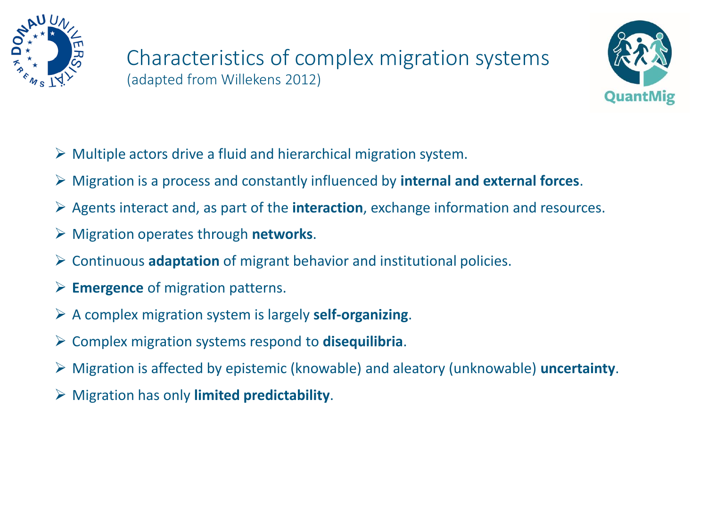



- $\triangleright$  Multiple actors drive a fluid and hierarchical migration system.
- ➢ Migration is a process and constantly influenced by **internal and external forces**.
- ➢ Agents interact and, as part of the **interaction**, exchange information and resources.
- ➢ Migration operates through **networks**.
- ➢ Continuous **adaptation** of migrant behavior and institutional policies.
- ➢ **Emergence** of migration patterns.
- ➢ A complex migration system is largely **self-organizing**.
- ➢ Complex migration systems respond to **disequilibria**.
- ➢ Migration is affected by epistemic (knowable) and aleatory (unknowable) **uncertainty**.
- ➢ Migration has only **limited predictability**.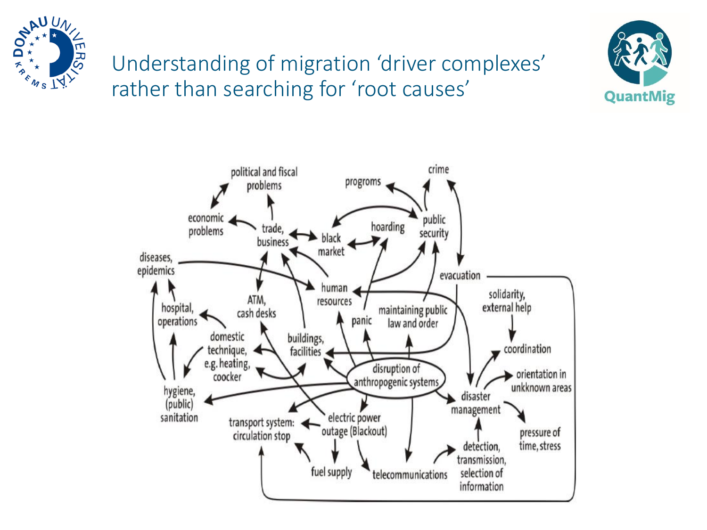

# Understanding of migration 'driver complexes' rather than searching for 'root causes'



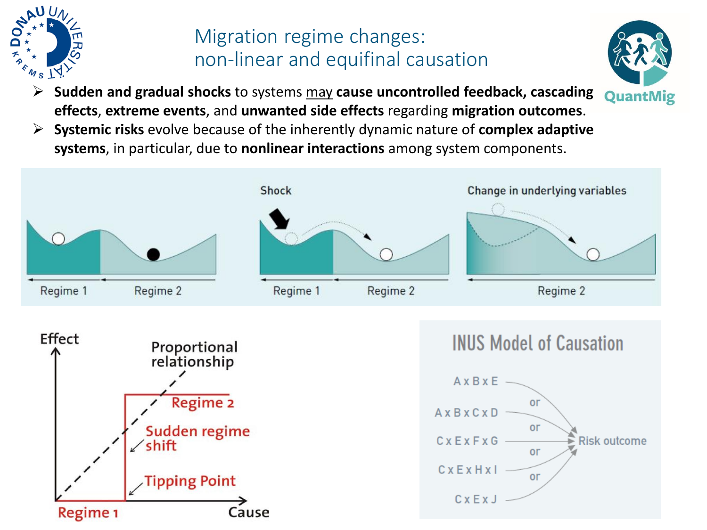

# Migration regime changes: non-linear and equifinal causation

- ➢ **Sudden and gradual shocks** to systems may **cause uncontrolled feedback, cascading**  QuantMig **effects**, **extreme events**, and **unwanted side effects** regarding **migration outcomes**.
- ➢ **Systemic risks** evolve because of the inherently dynamic nature of **complex adaptive systems**, in particular, due to **nonlinear interactions** among system components.

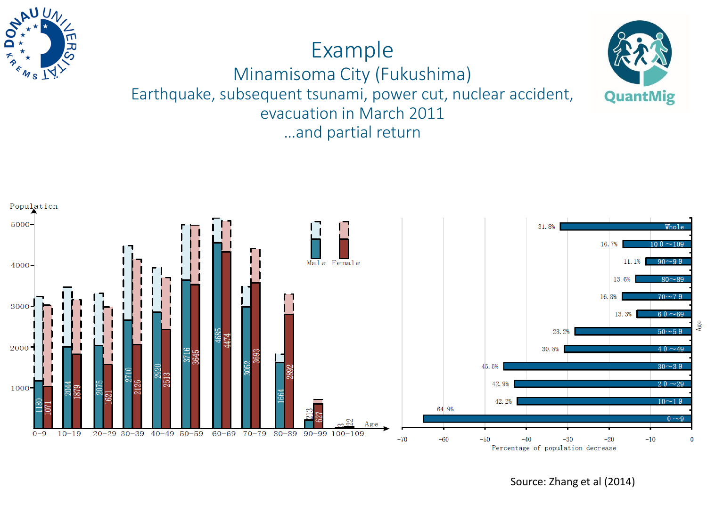

### Example Minamisoma City (Fukushima) Earthquake, subsequent tsunami, power cut, nuclear accident, evacuation in March 2011

…and partial return



Source: Zhang et al (2014)

QuantMig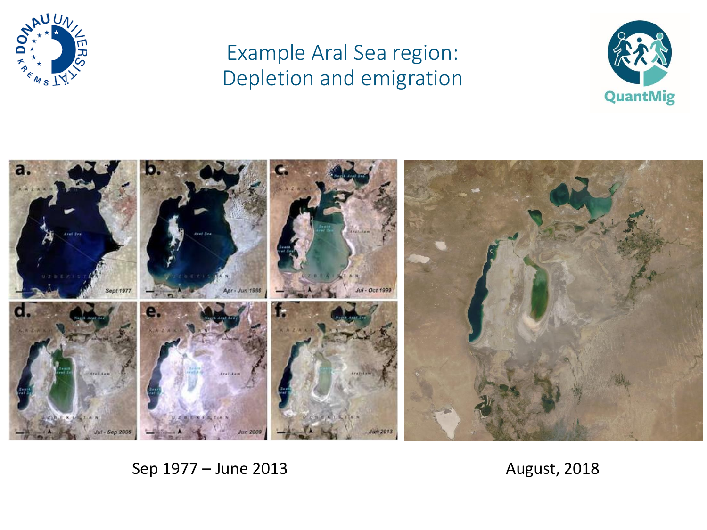

# Example Aral Sea region: Depletion and emigration





#### Sep 1977 – June 2013 **August, 2018**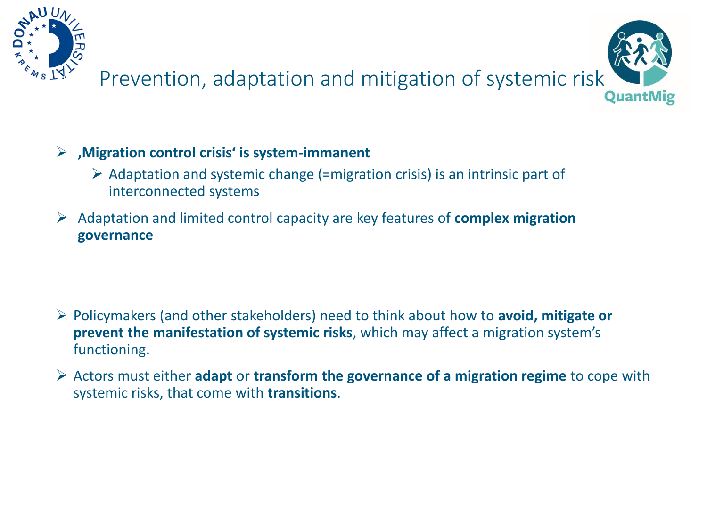

# Prevention, adaptation and mitigation of systemic risk QuantMig

#### ➢ **'Migration control crisis' is system-immanent**

- $\triangleright$  Adaptation and systemic change (=migration crisis) is an intrinsic part of interconnected systems
- ➢ Adaptation and limited control capacity are key features of **complex migration governance**

- ➢ Policymakers (and other stakeholders) need to think about how to **avoid, mitigate or prevent the manifestation of systemic risks**, which may affect a migration system's functioning.
- ➢ Actors must either **adapt** or **transform the governance of a migration regime** to cope with systemic risks, that come with **transitions**.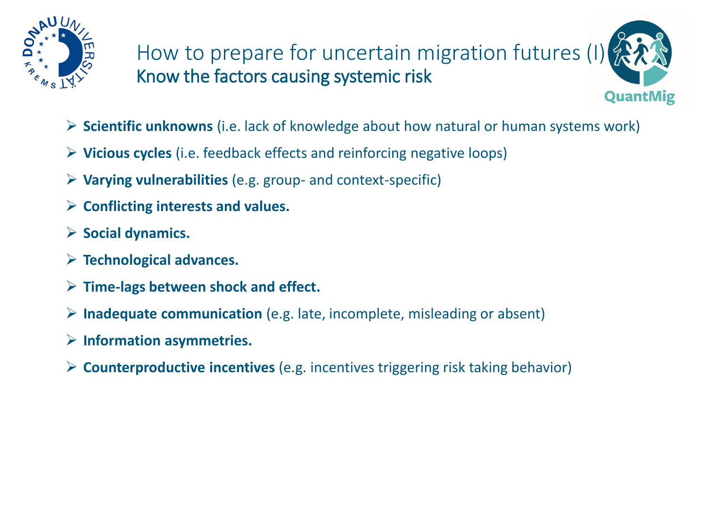

How to prepare for uncertain migration futures (I Know the factors causing systemic risk QuantMig

- ➢ **Scientific unknowns** (i.e. lack of knowledge about how natural or human systems work)
- ➢ **Vicious cycles** (i.e. feedback effects and reinforcing negative loops)
- ➢ **Varying vulnerabilities** (e.g. group- and context-specific)
- ➢ **Conflicting interests and values.**
- ➢ **Social dynamics.**
- ➢ **Technological advances.**
- ➢ **Time-lags between shock and effect.**
- ➢ **Inadequate communication** (e.g. late, incomplete, misleading or absent)
- ➢ **Information asymmetries.**
- ➢ **Counterproductive incentives** (e.g. incentives triggering risk taking behavior)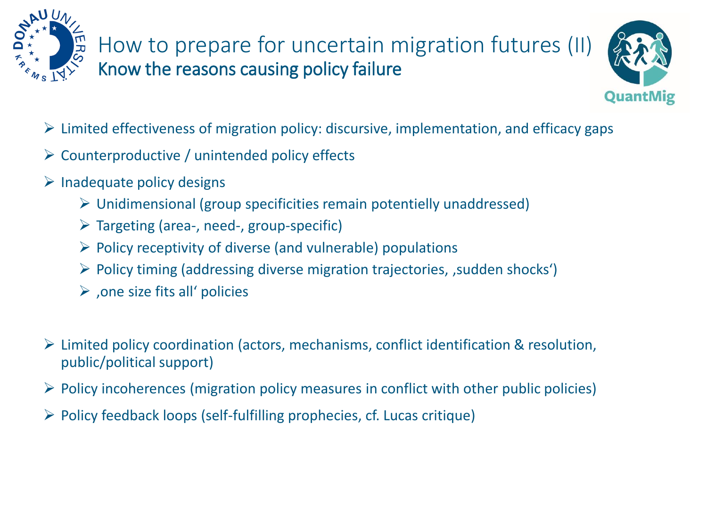

# How to prepare for uncertain migration futures (II) Know the reasons causing policy failure



- $\triangleright$  Limited effectiveness of migration policy: discursive, implementation, and efficacy gaps
- $\triangleright$  Counterproductive / unintended policy effects
- $\triangleright$  Inadequate policy designs
	- $\triangleright$  Unidimensional (group specificities remain potentielly unaddressed)
	- $\triangleright$  Targeting (area-, need-, group-specific)
	- $\triangleright$  Policy receptivity of diverse (and vulnerable) populations
	- $\triangleright$  Policy timing (addressing diverse migration trajectories, , sudden shocks')
	- $\triangleright$  , one size fits all' policies
- ➢ Limited policy coordination (actors, mechanisms, conflict identification & resolution, public/political support)
- $\triangleright$  Policy incoherences (migration policy measures in conflict with other public policies)
- $\triangleright$  Policy feedback loops (self-fulfilling prophecies, cf. Lucas critique)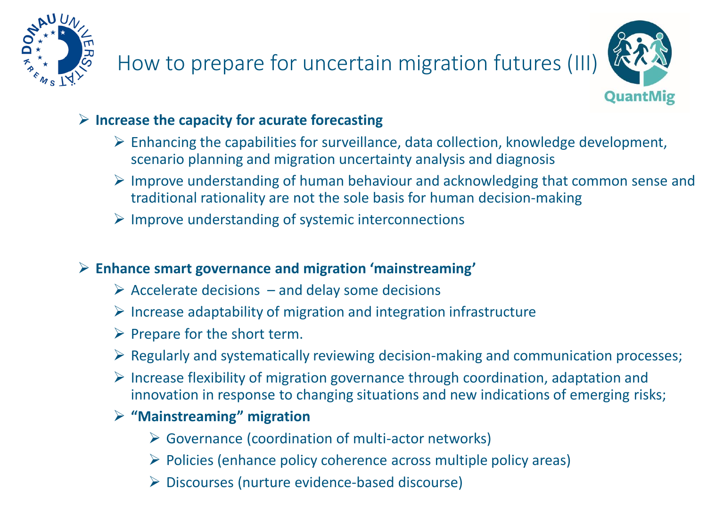

# How to prepare for uncertain migration futures (III)



#### ➢ **Increase the capacity for acurate forecasting**

- $\triangleright$  Enhancing the capabilities for surveillance, data collection, knowledge development, scenario planning and migration uncertainty analysis and diagnosis
- ➢ Improve understanding of human behaviour and acknowledging that common sense and traditional rationality are not the sole basis for human decision-making
- ➢ Improve understanding of systemic interconnections

#### ➢ **Enhance smart governance and migration 'mainstreaming'**

- $\triangleright$  Accelerate decisions and delay some decisions
- $\triangleright$  Increase adaptability of migration and integration infrastructure
- $\triangleright$  Prepare for the short term.
- ➢ Regularly and systematically reviewing decision-making and communication processes;
- ➢ Increase flexibility of migration governance through coordination, adaptation and innovation in response to changing situations and new indications of emerging risks;
- ➢ **"Mainstreaming" migration**
	- ➢ Governance (coordination of multi-actor networks)
	- ➢ Policies (enhance policy coherence across multiple policy areas)
	- ➢ Discourses (nurture evidence-based discourse)